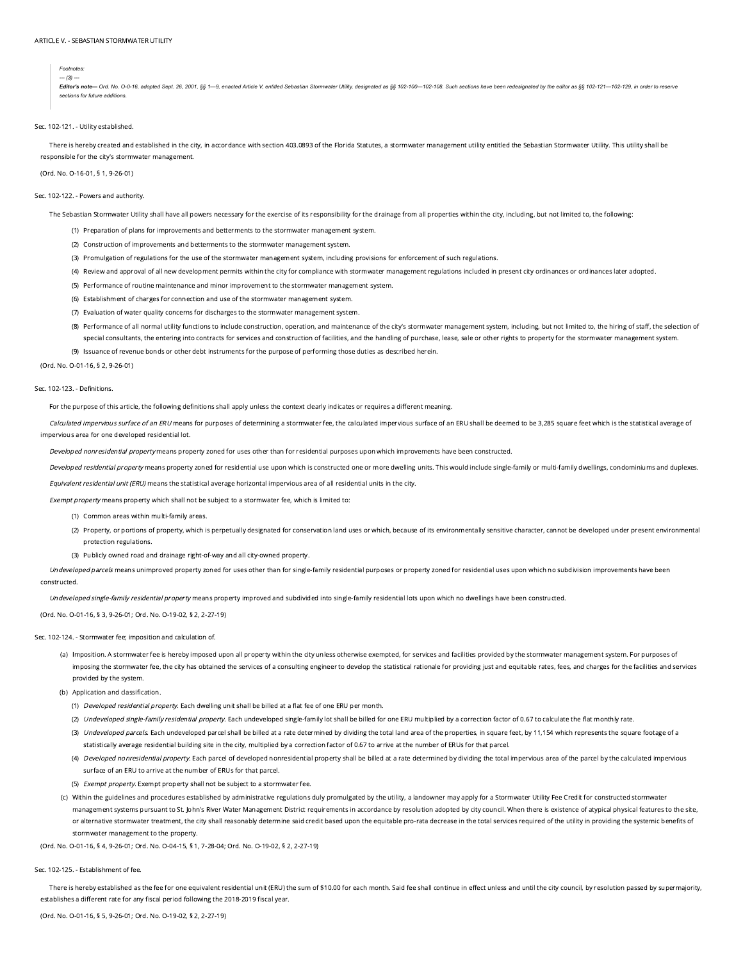#### *Footnotes:*

*--- (3) ---*

Editor's note- Ord. No. O-0-16, adopted Sept. 26, 2001, §§ 1-9, enacted Article V, entitled Sebastian Stormwater Utility, designated as §§ 102-100-102-108. Such sections have been redesignated by the editor as §§ 102-121-1 *sections for future additions.*

#### Sec. 102-121. - Utility established.

There is hereby created and established in the city, in accordance with section 403.0893 of the Florida Statutes, a stormwater management utility entitled the Sebastian Stormwater Utility. This utility shall be responsible for the city's stormwater management.

(Ord. No. O-16-01, § 1, 9-26-01)

## Sec. 102-122. - Powers and authority.

The Sebastian Stormwater Utility shall have all powers necessary for the exercise of its responsibility for the drainage from all properties within the city, including, but not limited to, the following:

- (1) Preparation of plans for improvements and betterments to the stormwater management system.
- (2) Construction of improvements and betterments to the stormwater management system.
- (3) Promulgation of regulations for the use of the stormwater management system, including provisions for enforcement of such regulations.
- (4) Review and approval of all new development permits within the city for compliance with stormwater management regulations included in present city ordinances or ordinances later adopted.
- (5) Performance of routine maintenance and minor improvement to the stormwater management system.
- (6) Establishment of charges for connection and use of the stormwater management system.
- (7) Evaluation of water quality concerns for discharges to the stormwater management system.
- (8) Performance of all normal utility functions to include construction, operation, and maintenance of the city's stormwater management system, including, but not limited to, the hiring of staff, the selection of special consultants, the entering into contracts for services and construction of facilities, and the handling of purchase, lease, sale or other rights to property for the stormwater management system.
- (9) Issuance of revenue bonds or other debt instruments for the purpose of performing those duties as described herein.

(Ord. No. O-01-16, § 2, 9-26-01)

#### Sec. 102-123. - Definitions.

For the purpose of this article, the following definitions shall apply unless the context clearly indicates or requires a different meaning.

Calculated impervious surface of an ERU means for purposes of determining a stormwater fee, the calculated impervious surface of an ERU shall be deemed to be 3,285 square feet which is the statistical average of impervious area for one developed residential lot.

Developed nonresidential property means property zoned for uses other than for residential purposes upon which improvements have been constructed.

Developed residential property means property zoned for residential use upon which is constructed one or more dwelling units. This would include single-family or multi-family dwellings, condominiums and duplexes.

Equivalent residential unit (ERU) means the statistical average horizontal impervious area of all residential units in the city.

Exempt property means property which shall not be subject to a stormwater fee, which is limited to:

(1) Common areas within multi-family areas.

- (2) Property, or portions of property, which is perpetually designated for conservation land uses or which, because of its environmentally sensitive character, cannot be developed under present environmental protection regulations.
- (3) Publicly owned road and drainage right-of-way and all city-owned property.

Undeveloped parcels means unimproved property zoned for uses other than for single-family residential purposes or property zoned for residential uses upon which no subdivision improvements have been constructed.

Undeveloped single-family residential property means property improved and subdivided into single-family residential lots upon which no dwellings have been constructed.

(Ord. No. O-01-16, § 3, 9-26-01; Ord. No. O-19-02, § 2, 2-27-19)

#### Sec. 102-124. - Stormwater fee; imposition and calculation of.

(a) Imposition. A stormwater fee is hereby imposed upon all property within the city unless otherwise exempted, for services and facilities provided by the stormwater management system. For purposes of imposing the stormwater fee, the city has obtained the services of a consulting engineer to develop the statistical rationale for providing just and equitable rates, fees, and charges for the facilities and services provided by the system.

(b) Application and classification.

- (1) *Developed residential property.* Each dwelling unit shall be billed at a flat fee of one ERU per month.
- (2) Undeveloped single-family residential property. Each undeveloped single-family lot shall be billed for one ERU multiplied by a correction factor of 0.67 to calculate the flat monthly rate.
- (3) Undeveloped parcels. Each undeveloped parcel shall be billed at a rate determined by dividing the total land area of the properties, in square feet, by 11,154 which represents the square footage of a statistically average residential building site in the city, multiplied by a correction factor of 0.67 to arrive at the number of ERUs for that parcel.
- (4) Developed nonresidential property. Each parcel of developed nonresidential property shall be billed at a rate determined by dividing the total impervious area of the parcel by the calculated impervious surface of an ERU to arrive at the number of ERUs for that parcel.
- (5) *Exempt property.* Exempt property shall not be subject to a stormwater fee.
- (c) Within the guidelines and procedures established by administrative regulations duly promulgated by the utility, a landowner may apply for a Stormwater Utility Fee Credit for constructed stormwater management systems pursuant to St. John's River Water Management District requirements in accordance by resolution adopted by city council. When there is existence of atypical physical features to the site, or alternative stormwater treatment, the city shall reasonably determine said credit based upon the equitable pro-rata decrease in the total services required of the utility in providing the systemic benefits of stormwater management to the property.

(Ord. No. O-01-16, § 4, 9-26-01; Ord. No. O-04-15, § 1, 7-28-04; Ord. No. O-19-02, § 2, 2-27-19)

## Sec. 102-125. - Establishment of fee.

There is hereby established as the fee for one equivalent residential unit (ERU) the sum of \$10.00 for each month. Said fee shall continue in effect unless and until the city council, by resolution passed by supermajority, establishes a different rate for any fiscal period following the 2018-2019 fiscal year.

(Ord. No. O-01-16, § 5, 9-26-01; Ord. No. O-19-02, § 2, 2-27-19)